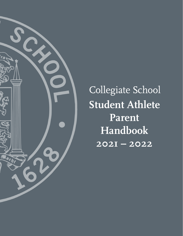

Collegiate School **Student Athlete Parent Handbook 2021 – 2022**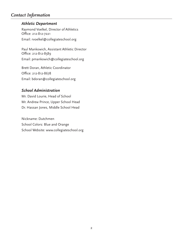# *Contact Information*

# *Athletic Department*

Raymond Voelkel, Director of Athletics Office: 212-812-7221 Email: rvoelkel@collegiateschool.org

Paul Mankowich, Assistant Athletic Director Office: 212-812-8589 Email: pmankowich@collegiateschool.org

Brett Doran, Athletic Coordinator Office: 212-812-8678 Email: bdoran@collegiateschool.org

# *School Administration*

Mr. David Lourie, Head of School Mr. Andrew Prince, Upper School Head Dr. Hassan Jones, Middle School Head

Nickname: Dutchmen School Colors: Blue and Orange School Website: www.collegiateschool.org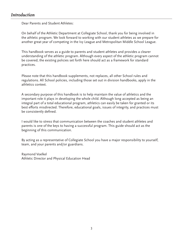# *Introduction*

Dear Parents and Student Athletes:

On behalf of the Athletic Department at Collegiate School, thank you for being involved in the athletic program. We look forward to working with our student athletes as we prepare for another great year of competing in the Ivy League and Metropolitan Middle School League.

This handbook serves as a guide to parents and student athletes and provides a clearer understanding of the athletic program. Although every aspect of the athletic program cannot be covered, the existing policies set forth here should act as a framework for standard practices.

Please note that this handbook supplements, not replaces, all other School rules and regulations. All School policies, including those set out in division handbooks, apply in the athletics context.

A secondary purpose of this handbook is to help maintain the value of athletics and the important role it plays in developing the whole child. Although long accepted as being an integral part of a total educational program, athletics can easily be taken for granted or its best efforts misdirected. Therefore, educational goals, issues of integrity, and practices must be consistently defined.

I would like to stress that communication between the coaches and student athletes and parents is one of the keys to having a successful program. This guide should act as the beginning of this communication.

By acting as a representative of Collegiate School you have a major responsibility to yourself, team, and your parents and/or guardians.

Raymond Voelkel Athletic Director and Physical Education Head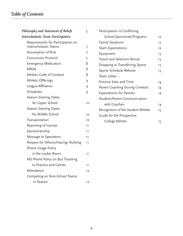# *Table of Contents*

| Philosophy and Statement of Beliefs       | 5               | Participation in Conflicting           |    |
|-------------------------------------------|-----------------|----------------------------------------|----|
| <b>Interscholastic Team Participation</b> |                 | School-Sponsored Programs              | 12 |
| Requirements for Participation on         |                 | <b>Family Vacations</b>                | 12 |
| Interscholastic Teams                     | 7               | Team Expectations                      | 12 |
| Assumption of Risk                        | 7               | Equipment                              | 13 |
| <b>Concussion Protocol</b>                | 7               | Tryout and Selection Period            | 13 |
| <b>Emergency Medication</b>               | 8               | Dropping or Transferring Sports        | 13 |
| <b>MRSA</b>                               | 8               | Sports Schedule Website                | 13 |
| Athletic Code of Conduct                  | 8               | Team Letter-                           |    |
| Athletic Offerings                        | 9               | <b>Practice Sites and Time</b>         | 14 |
| League Affiliation                        | 9               | <b>Parent Coaching During Contests</b> | 14 |
| Schedules                                 | 9               | <b>Expectations for Parents</b>        | 14 |
| <b>Season Starting Dates</b>              |                 | Student/Parent Communication           |    |
| for Upper School                          | 10 <sup>°</sup> | with Coaches                           | 14 |
| <b>Season Starting Dates</b>              |                 | Recognition of the Student Athlete     | 15 |
| for Middle School                         | 10 <sup>°</sup> | Guide for the Prospective              |    |
| Transportation                            | 10              | College Athlete                        | 15 |
| Reporting of Injuries                     | 11              |                                        |    |
| Sportsmanship                             | 11              |                                        |    |
| Message to Spectators                     | 11              |                                        |    |
| Respect for Others/Hazing/ Bullying       | 11              |                                        |    |
| Phone Usage Policy                        |                 |                                        |    |
| in the Locker Room                        | 11              |                                        |    |
| MS Phone Policy on Bus Traveling          |                 |                                        |    |
| to Practice and Games                     | 11              |                                        |    |
| Attendance                                | 12              |                                        |    |
| Competing on Non-School Teams             |                 |                                        |    |
| in Season                                 | 12              |                                        |    |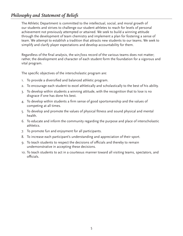# *Philosophy and Statement of Beliefs*

The Athletic Department is committed to the intellectual, social, and moral growth of our students and strives to challenge our student athletes to reach for levels of personal achievement not previously attempted or attained. We seek to build a winning attitude through the development of team chemistry and implement a plan for fostering a sense of team. We attempt to establish a tradition that attracts new students to our teams. We seek to simplify and clarify player expectations and develop accountability for them.

Regardless of the final analysis, the win/loss record of the various teams does not matter; rather, the development and character of each student form the foundation for a vigorous and vital program.

The specific objectives of the interscholastic program are:

- 1. To provide a diversified and balanced athletic program.
- 2. To encourage each student to excel athletically and scholastically to the best of his ability.
- 3. To develop within students a winning attitude, with the recognition that to lose is no disgrace if one has done his best.
- 4. To develop within students a firm sense of good sportsmanship and the values of competing at all times.
- 5. To develop and promote the values of physical fitness and sound physical and mental health.
- 6. To educate and inform the community regarding the purpose and place of interscholastic athletics.
- 7. To promote fun and enjoyment for all participants.
- 8. To increase each participant's understanding and appreciation of their sport.
- 9. To teach students to respect the decisions of officials and thereby to remain undemonstrative in accepting these decisions.
- 10. To teach students to act in a courteous manner toward all visiting teams, spectators, and officials.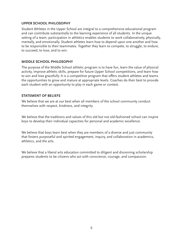#### **UPPER SCHOOL PHILOSOPHY**

Student Athletes in the Upper School are integral to a comprehensive educational program and can contribute substantially to the learning experience of all students. In the unique setting of a team, participation in athletics enables students to work collaboratively, physically, mentally, and emotionally. Student athletes learn how to depend upon one another and how to be responsible to their teammates. Together they learn to compete, to struggle, to endure, to succeed, to lose, and to win.

#### **MIDDLE SCHOOL PHILOSOPHY**

The purpose of the Middle School athletic program is to have fun, learn the value of physical activity, improve athletic skills, prepare for future Upper School competitions, and learn how to win and lose gracefully. It is a competitive program that offers student athletes and teams the opportunities to grow and mature at appropriate levels. Coaches do their best to provide each student with an opportunity to play in each game or contest.

#### **STATEMENT OF BELIEFS**

We believe that we are at our best when all members of the school community conduct themselves with respect, kindness, and integrity.

We believe that the traditions and values of this old but not old-fashioned school can inspire boys to develop their individual capacities for personal and academic excellence.

We believe that boys learn best when they are members of a diverse and just community that fosters purposeful and spirited engagement, inquiry, and collaboration in academics, athletics, and the arts.

We believe that a liberal arts education committed to diligent and discerning scholarship prepares students to be citizens who act with conscience, courage, and compassion.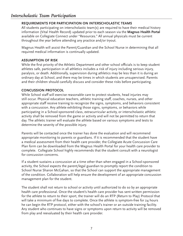# **REQUIREMENTS FOR PARTICIPATION ON INTERSCHOLASTIC TEAMS**

All students participating on interscholastic team(s) are required to have their medical history information (Vital Health Record) updated prior to each season via the **Magnus Health Portal** available on Collegiate Connect under "Resources." All annual physicals must be current throughout the year before attending any practice and/or tryout.

Magnus Health will assist the Parent/Guardian and the School Nurse in determining that all required medical information is continually updated.

# **ASSUMPTION OF RISK**

While the first priority of the Athletic Department and other school officials is to keep student athletes safe, participation in all athletics includes a risk of injury including serious injury, paralysis, or death. Additionally, supervision during athletics may be less than it is during an ordinary day at School, and there may be times in which students are unsupervised. Parents and their children should carefully discuss and consider these risks before participating.

#### **CONCUSSION PROTOCOL**

While School staff will exercise reasonable care to protect students, head injuries may still occur. Physical education teachers, athletic training staff, coaches, nurses, and other appropriate staff receive training to recognize the signs, symptoms, and behaviors consistent with a concussion. Any athlete exhibiting those signs, symptoms, or behaviors while participating in a School-sponsored class, extracurricular activity, or interscholastic athletic activity shall be removed from the game or activity and will not be permitted to return that day. The athletic trainer will evaluate the athlete based on various symptoms and tests to determine the severity of the possible injury.

Parents will be contacted once the trainer has done the evaluation and will recommend appropriate monitoring to parents or guardians. If it is recommended that the student have a medical assessment from their health care provider, the Collegiate Acute Concussion Care Plan form can be downloaded from the Magnus Health Portal for your health care provider to complete. Collegiate School highly recommends that the student consult with a neurologist for concussion concerns.

If a student sustains a concussion at a time other than when engaged in a School-sponsored activity, the School expects the parent/legal guardian to promptly report the condition to School Nurse Sharon McGahan, so that the School can support the appropriate management of the condition. Collaboration will help ensure the development of an appropriate concussion management plan for the student.

The student shall not return to school or activity until authorized to do so by an appropriate health care professional. Once the student's health care provider has sent written permission for the athlete to return to their sport, the trainer will do an RTP (Return to Play) Protocol that will take a minimum of five days to complete. Once the athlete is symptom-free for 24 hours he can begin the RTP protocol, either with the school's trainer or an outside training facility. Any student who continues to have signs or symptoms upon return to activity will be removed from play and reevaluated by their health care provider.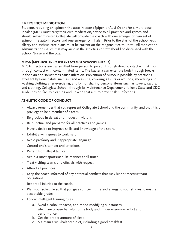#### **EMERGENCY MEDICATION**

Students requiring an epinephrine auto-injector (Epipen or Auvi-Q) and/or a multi-dose inhaler (MDI) must carry their own medication/device to all practices and games and should self-administer. Collegiate will provide the coach with one emergency twin set of epinephrine auto-injectors and one emergency inhaler. Prior to the start of the school year, allergy and asthma care plans must be current on the Magnus Health Portal. All medicationadministration issues that may arise in the athletics context should be discussed with the School Nurse and the coach.

# **MRSA (Methicillin-Resistant Staphylococcus Aureus)**

MRSA infections are transmitted from person to person through direct contact with skin or through contact with contaminated items. The bacteria can enter the body through breaks in the skin and sometimes cause infection. Prevention of MRSA is possible by practicing excellent hygiene habits such as hand washing, covering all cuts or wounds, showering and washing clothing after exercising, and by not sharing personal items such as towels, razors, and clothing. Collegiate School, through its Maintenance Department, follows State and CDC guidelines on facility cleaning and upkeep that aim to prevent skin infections.

# **ATHLETIC CODE OF CONDUCT**

- Always remember that you represent Collegiate School and the community, and that it is a privilege to be a member of a team.
- Be gracious in defeat and modest in victory.
- Be punctual and prepared for all practices and games.
- Have a desire to improve skills and knowledge of the sport.
- Exhibit a willingness to work hard.
- Avoid profanity and inappropriate language.
- Control one's temper and emotions.
- Refrain from illegal tactics.
- Act in a most sportsmanlike manner at all times.
- Treat visiting teams and officials with respect.
- Attend all practices.
- Keep the coach informed of any potential conflicts that may hinder meeting team obligations.
- Report all injuries to the coach.
- Plan your schedule so that you give sufficient time and energy to your studies to ensure acceptable grades.
- Follow intelligent training rules.
	- a. Avoid alcohol, tobacco, and mood-modifying substances, which are proven harmful to the body and hinder maximum effort and performance.
	- b. Get the proper amount of sleep.
	- c. Maintain a well-balanced diet, including a good breakfast.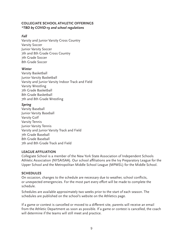#### **COLLEGIATE SCHOOL ATHLETIC OFFERINGS** *\*TBD by COVID-19 and school regulations*

# *Fall*

Varsity and Junior Varsity Cross Country Varsity Soccer Junior Varsity Soccer 7th and 8th Grade Cross Country 7th Grade Soccer 8th Grade Soccer

#### *Winter*

Varsity Basketball Junior Varsity Basketball Varsity and Junior Varsity Indoor Track and Field Varsity Wrestling 7th Grade Basketball 8th Grade Basketball 7th and 8th Grade Wrestling

#### *Spring*

Varsity Baseball Junior Varsity Baseball Varsity Golf Varsity Tennis Junior Varsity Tennis Varsity and Junior Varsity Track and Field 7th Grade Baseball 8th Grade Baseball 7th and 8th Grade Track and Field

# **LEAGUE AFFILIATION**

Collegiate School is a member of the New York State Association of Independent Schools Athletic Association (NYSAISAA). Our school affiliations are the Ivy Preparatory League for the Upper School and the Metropolitan Middle School League (MPMSL) for the Middle School.

# **SCHEDULES**

On occasion, changes to the schedule are necessary due to weather, school conflicts, or unexpected emergencies. For the most part every effort will be made to complete the schedule.

Schedules are available approximately two weeks prior to the start of each season. The schedules are published on the school's website on the Athletics page.

If a game or contest is cancelled or moved to a different site, parents will receive an email from the Athletic Department as soon as possible. If a game or contest is cancelled, the coach will determine if the teams will still meet and practice.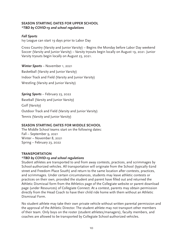#### **SEASON STARTING DATES FOR UPPER SCHOOL** *\*TBD by COVID-19 and school regulations*

### *Fall Sports*

Ivy League can start 19 days prior to Labor Day

Cross Country (Varsity and Junior Varsity) – Begins the Monday before Labor Day weekend Soccer (Varsity and Junior Varsity) – Varsity tryouts begin locally on August 19, 2021. Junior Varsity tryouts begin locally on August 23, 2021.

*Winter Sports* – November 1, 2021

Basketball (Varsity and Junior Varsity) Indoor Track and Field (Varsity and Junior Varsity) Wrestling (Varsity and Junior Varsity)

#### *Spring Sports* – February 23, 2022

Baseball (Varsity and Junior Varsity) Golf (Varsity) Outdoor Track and Field (Varsity and Junior Varsity) Tennis (Varsity and Junior Varsity)

# **SEASON STARTING DATES FOR MIDDLE SCHOOL**

The Middle School teams start on the following dates: Fall – September 9, 2021 Winter – November 8, 2021 Spring – February 23, 2022

#### **TRANSPORTATION**

#### *\*TBD by COVID-19 and school regulations*

Student athletes are transported to and from away contests, practices, and scrimmages by School-authorized vehicles. All transportation will originate from the School (typically 62nd street and Freedom Place South) and return to the same location after contests, practices, and scrimmages. Under certain circumstances, students may leave athletic contests or practices on their own, provided the student and parent have filled out and returned the Athletic Dismissal form from the Athletics page of the Collegiate website or parent download page (under Resources) of Collegiate Connect. At a contest, parents may obtain permission directly from the Head Coach to have their child ride home with them without an Athletic Dismissal Form.

No student athlete may take their own private vehicle without written parental permission and the approval of the Athletic Director. The student athlete may not transport other members of their team. Only boys on the roster (student athletes/managers), faculty members, and coaches are allowed to be transported by Collegiate School-authorized vehicles.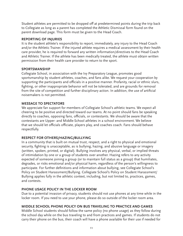Student athletes are permitted to be dropped off at predetermined points during the trip back to Collegiate as long as a parent has completed the Athletic Dismissal form found on the parent download page. This form must be given to the Head Coach.

#### **REPORTING OF INJURIES**

It is the student athlete's responsibility to report, immediately, any injury to the Head Coach and/or the Athletic Trainer. If the injured athlete requires a medical assessment by their health care provider, he is required to forward any written information/directives to the Head Coach and Athletic Trainer. If the athlete has been medically treated, the athlete must obtain written permission from their health care provider to return to the sport.

# **SPORTSMANSHIP**

Collegiate School, in association with the Ivy Preparatory League, promotes good sportsmanship by student athletes, coaches, and fans alike. We request your cooperation by supporting the participants and officials in a positive manner. Profanity, racial or ethnic slurs, fighting, or other inappropriate behavior will not be tolerated, and are grounds for removal from the site of competition and further disciplinary action. In addition, the use of artificial noisemakers is not permitted.

# **MESSAGE TO SPECTATORS**

We appreciate fan support for members of Collegiate School's athletic teams. We expect all cheering to be positive and directed toward our teams. At no point should fans be speaking directly to coaches, opposing fans, officials, or contestants. We should be aware that the contestants are Upper- and Middle-School athletes in a school environment. We believe that we should let officials officiate, players play, and coaches coach. Fans should behave respectfully.

# **RESPECT FOR OTHERS/HAZING/BULLYING**

In a community that is built on mutual trust, respect, and a right to physical and emotional security, fighting is unacceptable, as is bullying, hazing, and abusive language or imagery (written, spoken, printed, or digital). Bullying involves any physical, verbal, or implied threats of intimidation by one or a group of students over another. Hazing refers to any activity expected of someone joining a group (or to maintain full status as a group) that humiliates, degrades, or risks emotional and/or physical harm, regardless of the person's willingness to participate. For further definitions and information about bullying, see Collegiate School's Policy on Student Harassment/Bullying. Collegiate School's Policy on Student Harassment/ Bullying applies fully in the athletic context, including, but not limited to, practices, games, and contests.

# **PHONE USAGE POLICY IN THE LOCKER ROOM**

Due to a potential invasion of privacy, students should not use phones at any time while in the locker room. If you need to use your phone, please do so outside of the locker room area.

# **MIDDLE SCHOOL PHONE POLICY ON BUS TRAVELING TO PRACTICE AND GAMES**

Middle School students should follow the same policy (no phone usage) as they follow during the school day while on the bus traveling to and from practices and games. If students do not carry their phone on the bus, their coach will have a phone available for their use if needed for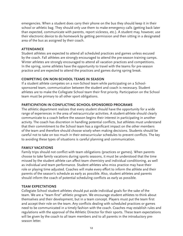emergencies. When a student does carry their phone on the bus they should keep it in their school or athletic bag. They should only use them to make emergency calls (getting back later than expected, communicate with parents, report sickness, etc.). A student may, however, use their electronic device to do homework by getting permission and then sitting in a designated area of the bus as assigned by their coach.

#### **ATTENDANCE**

Student athletes are expected to attend all scheduled practices and games unless excused by the coach. Fall athletes are strongly encouraged to attend the pre-season training camps. Winter athletes are strongly encouraged to attend all vacation practices and competitions. In the spring, some athletes have the opportunity to travel with the teams for pre-season practice and are expected to attend the practices and games during spring break.

#### **COMPETING ON NON-SCHOOL TEAMS IN SEASON**

If a student athlete competes on a non-School team while participating on a Schoolsponsored team, communication between the student and coach is necessary. Student athletes are to make the Collegiate School team their first priority. Participation on the School team must be primary to all other sport obligations.

#### **PARTICIPATION IN CONFLICTING SCHOOL-SPONSORED PROGRAMS**

The athletic department realizes that every student should have the opportunity for a wide range of experiences in the area of extracurricular activities. A student-athlete should clearly communicate to a coach before the season begins their interest in participating in another activity. The coach has discretion in handling potential conflicts, but athletes must understand that their commitment to the School team has a significant impact on the other members of the team and therefore should choose wisely when making decisions. Students should be careful not to take on too much in their extracurricular schedules to prevent conflicts. The key to avoiding these types of situations is careful planning and communication.

#### **FAMILY VACATIONS**

Family trips should not conflict with team obligations (practices or games). When parents choose to take family vacations during sports seasons, it must be understood that the time missed by the student athlete can affect team chemistry and individual conditioning, as well as individual and team performance. Student athletes who miss practice may have their role or playing time adjusted. Coaches will make every effort to inform the athlete and their parents of the season's schedule as early as possible. Also, student athletes and parents should inform the coach of potential scheduling conflicts as early as possible.

#### **TEAM EXPECTATIONS**

Collegiate School student athletes should put aside individual goals for the sake of the team. We are a "team first" athletic program. We encourage student athletes to think about themselves and their development, but in a team concept. Players must put the team first and accept their role on the team. Any conflicts dealing with scheduled practices or games need to be communicated in a timely fashion with the coach. Coaches may establish rules and regulations with the approval of the Athletic Director for their sports. These team expectations will be given by the coach to all team members and to all parents in the introductory preseason letter.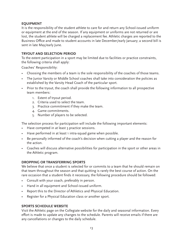#### **EQUIPMENT**

It is the responsibility of the student athlete to care for and return any School-issued uniform or equipment at the end of the season. If any equipment or uniforms are not returned or are lost, the student athlete will be charged a replacement fee. Athletic charges are reported to the Business Office and made to student accounts in late December/early January; a second bill is sent in late May/early June.

#### **TRYOUT AND SELECTION PERIOD**

To the extent participation in a sport may be limited due to facilities or practice constraints, the following criteria shall apply:

Coaches' Responsibility:

- Choosing the members of a team is the sole responsibility of the coaches of those teams.
- The Junior Varsity or Middle School coaches shall take into consideration the policies as established by the Varsity Head Coach of the particular sport.
- Prior to the tryout, the coach shall provide the following information to all prospective team members:
	- 1. Extent of tryout period.
	- 2. Criteria used to select the team.
	- 3. Practice commitment if they make the team.
	- 4. Game commitments.
	- 5. Number of players to be selected.

The selection process for participation will include the following important elements:

- Have competed in at least 3 practice sessions.
- Have performed in at least 1 intra-squad game when possible.
- Be personally informed of the coach's decision when cutting a player and the reason for the action.
- Coaches will discuss alternative possibilities for participation in the sport or other areas in the Athletic program.

# **DROPPING OR TRANSFERRING SPORTS**

We believe that once a student is selected for or commits to a team that he should remain on that team throughout the season and that quitting is rarely the best course of action. On the rare occasion that a student finds it necessary, the following procedure should be followed:

- Consult with your coach, preferably in person.
- Hand in all equipment and School-issued uniform.
- Report this to the Director of Athletics and Physical Education.
- Register for a Physical Education class or another sport.

#### **SPORTS SCHEDULE WEBSITE**

Visit the Athletic page on the Collegiate website for the daily and seasonal information. Every effort is made to update any changes to the schedule. Parents will receive emails if there are any cancellations or changes to the daily schedule.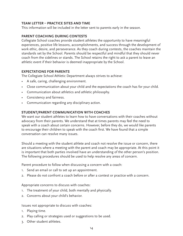### **TEAM LETTER – PRACTICE SITES AND TIME**

This information will be included in the letter sent to parents early in the season.

#### **PARENT COACHING DURING CONTESTS**

Collegiate School coaches provide student athletes the opportunity to have meaningful experiences, positive life lessons, accomplishments, and success through the development of work ethic, desire, and perseverance. As they coach during contests, the coaches maintain the standards set by the School. Parents should be respectful and mindful that they should never coach from the sidelines or stands. The School retains the right to ask a parent to leave an athletic event if their behavior is deemed inappropriate by the School.

#### **EXPECTATIONS FOR PARENTS**

The Collegiate School Athletic Department always strives to achieve:

- A safe, caring, challenging environment.
- Close communication about your child and the expectations the coach has for your child.
- Communication about athletics and athletic philosophy.
- Consistency and fairness.
- Communication regarding any disciplinary action.

#### **STUDENT/PARENT COMMUNICATION WITH COACHES**

We want our student athletes to learn how to have conversations with their coaches without advocacy from their parents. We understand that at times parents may feel the need to speak with a coach about certain concerns. However, before they do, we would like parents to encourage their children to speak with the coach first. We have found that a simple conversation can resolve many issues.

Should a meeting with the student athlete and coach not resolve the issue or concern, there are situations where a meeting with the parent and coach may be appropriate. At this point it is important that both parties involved have an understanding of the other person's position. The following procedures should be used to help resolve any areas of concern.

Parent procedure to follow when discussing a concern with a coach:

- 1. Send an email or call to set up an appointment.
- 2. Please do not confront a coach before or after a contest or practice with a concern.

Appropriate concerns to discuss with coaches:

- 1. The treatment of your child, both mentally and physically.
- 2. Concerns about your child's behavior.

Issues not appropriate to discuss with coaches:

- 1. Playing time.
- 2. Play calling or strategies used or suggestions to be used.
- 3. Other student athletes.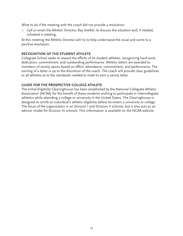What to do if the meeting with the coach did not provide a resolution:

1. Call or email the Athletic Director, Ray Voelkel, to discuss the situation and, if needed, schedule a meeting.

At this meeting the Athletic Director will try to help understand the issue and come to a positive resolution.

#### **RECOGNITION OF THE STUDENT ATHLETE**

Collegiate School seeks to reward the efforts of its student athletes, recognizing hard work, dedication, commitment, and outstanding performance. Athletic letters are awarded to members of varsity sports based on effort, attendance, commitment, and performance. The earning of a letter is up to the discretion of the coach. The coach will provide clear guidelines to all athletes as to the standards needed to meet to earn a varsity letter.

#### **GUIDE FOR THE PROSPECTIVE COLLEGE ATHLETE**

The Initial-Eligibility Clearinghouse has been established by the National Collegiate Athletic Association (NCAA) for the benefit of those students wishing to participate in intercollegiate athletics while attending a college or university in the United States. The Clearinghouse is designed to certify an individual's athletic eligibility before he enters a university or college. The focus of the organization is on Division I and Division II schools, but it also acts as an advisor model for Division III schools. This information is available on the NCAA website.